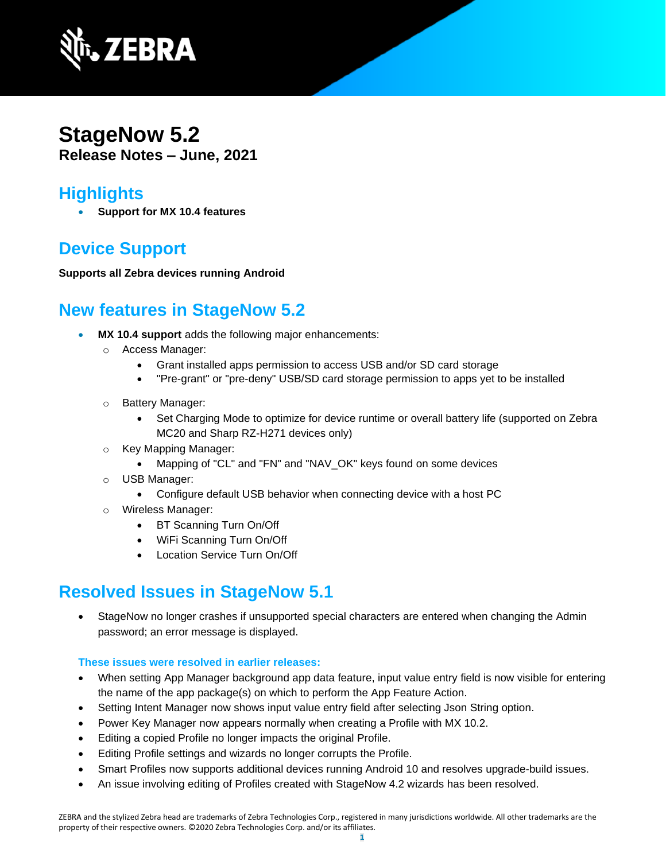

## **StageNow 5.2 Release Notes – June, 2021**

## **Highlights**

• **Support for MX 10.4 features**

# **Device Support**

**Supports all Zebra devices running Android**

## **New features in StageNow 5.2**

- **MX 10.4 support** adds the following major enhancements:
	- o Access Manager:
		- Grant installed apps permission to access USB and/or SD card storage
		- "Pre-grant" or "pre-deny" USB/SD card storage permission to apps yet to be installed
	- o Battery Manager:
		- Set Charging Mode to optimize for device runtime or overall battery life (supported on Zebra MC20 and Sharp RZ-H271 devices only)
	- o Key Mapping Manager:
		- Mapping of "CL" and "FN" and "NAV\_OK" keys found on some devices
	- o USB Manager:
		- Configure default USB behavior when connecting device with a host PC
	- Wireless Manager:
		- BT Scanning Turn On/Off
		- WiFi Scanning Turn On/Off
		- Location Service Turn On/Off

## **Resolved Issues in StageNow 5.1**

• StageNow no longer crashes if unsupported special characters are entered when changing the Admin password; an error message is displayed.

### **These issues were resolved in earlier releases:**

- When setting App Manager background app data feature, input value entry field is now visible for entering the name of the app package(s) on which to perform the App Feature Action.
- Setting Intent Manager now shows input value entry field after selecting Json String option.
- Power Key Manager now appears normally when creating a Profile with MX 10.2.
- Editing a copied Profile no longer impacts the original Profile.
- Editing Profile settings and wizards no longer corrupts the Profile.
- Smart Profiles now supports additional devices running Android 10 and resolves upgrade-build issues.
- An issue involving editing of Profiles created with StageNow 4.2 wizards has been resolved.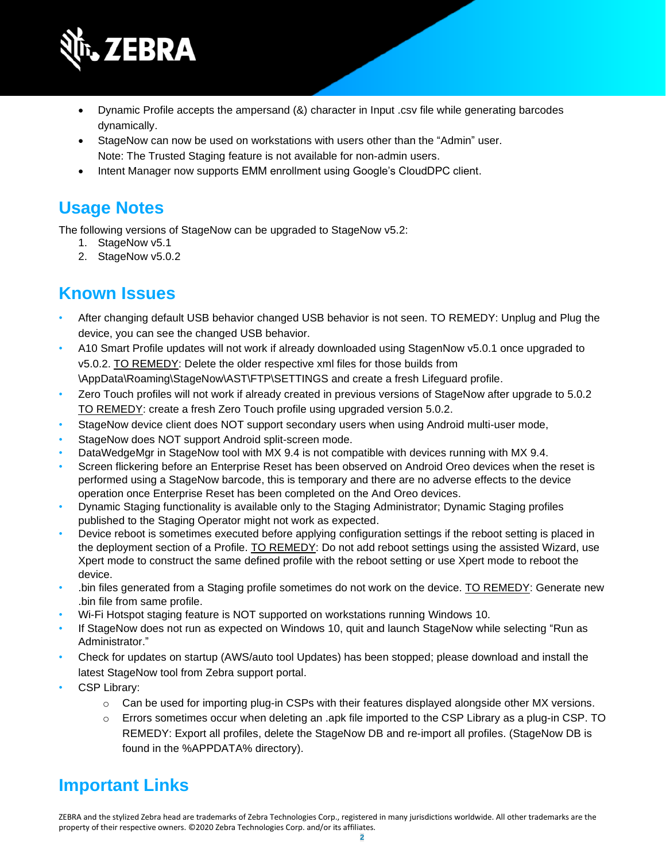

- Dynamic Profile accepts the ampersand (&) character in Input .csv file while generating barcodes dynamically.
- StageNow can now be used on workstations with users other than the "Admin" user.
- Note: The Trusted Staging feature is not available for non-admin users. • Intent Manager now supports EMM enrollment using Google's CloudDPC client.

# **Usage Notes**

The following versions of StageNow can be upgraded to StageNow v5.2:

- 1. StageNow v5.1
- 2. StageNow v5.0.2

## **Known Issues**

- After changing default USB behavior changed USB behavior is not seen. TO REMEDY: Unplug and Plug the device, you can see the changed USB behavior.
- A10 Smart Profile updates will not work if already downloaded using StagenNow v5.0.1 once upgraded to v5.0.2. TO REMEDY: Delete the older respective xml files for those builds from \AppData\Roaming\StageNow\AST\FTP\SETTINGS and create a fresh Lifeguard profile.
- Zero Touch profiles will not work if already created in previous versions of StageNow after upgrade to 5.0.2 TO REMEDY: create a fresh Zero Touch profile using upgraded version 5.0.2.
- StageNow device client does NOT support secondary users when using Android multi-user mode,
- StageNow does NOT support Android split-screen mode.
- DataWedgeMgr in StageNow tool with MX 9.4 is not compatible with devices running with MX 9.4.
- Screen flickering before an Enterprise Reset has been observed on Android Oreo devices when the reset is performed using a StageNow barcode, this is temporary and there are no adverse effects to the device operation once Enterprise Reset has been completed on the And Oreo devices.
- Dynamic Staging functionality is available only to the Staging Administrator; Dynamic Staging profiles published to the Staging Operator might not work as expected.
- Device reboot is sometimes executed before applying configuration settings if the reboot setting is placed in the deployment section of a Profile. TO REMEDY: Do not add reboot settings using the assisted Wizard, use Xpert mode to construct the same defined profile with the reboot setting or use Xpert mode to reboot the device.
- .bin files generated from a Staging profile sometimes do not work on the device. TO REMEDY: Generate new .bin file from same profile.
- Wi-Fi Hotspot staging feature is NOT supported on workstations running Windows 10.
- If StageNow does not run as expected on Windows 10, quit and launch StageNow while selecting "Run as Administrator."
- Check for updates on startup (AWS/auto tool Updates) has been stopped; please download and install the latest StageNow tool from Zebra support portal.
- CSP Library:
	- $\circ$  Can be used for importing plug-in CSPs with their features displayed alongside other MX versions.
	- $\circ$  Errors sometimes occur when deleting an .apk file imported to the CSP Library as a plug-in CSP. TO REMEDY: Export all profiles, delete the StageNow DB and re-import all profiles. (StageNow DB is found in the %APPDATA% directory).

# **Important Link[s](http://techdocs.zebra.com/stagenow/)**